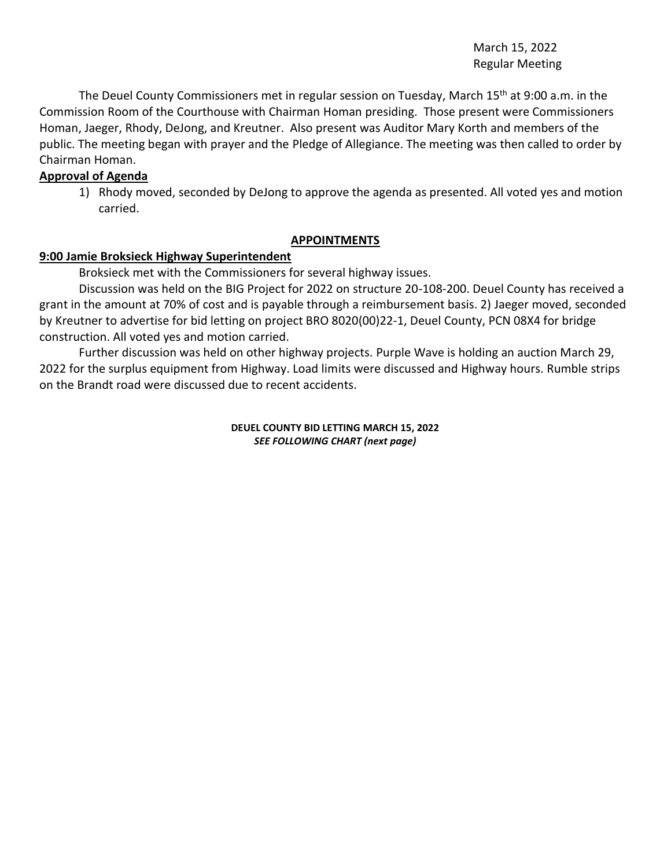March 15, 2022 Regular Meeting

The Deuel County Commissioners met in regular session on Tuesday, March 15<sup>th</sup> at 9:00 a.m. in the Commission Room of the Courthouse with Chairman Homan presiding. Those present were Commissioners Homan, Jaeger, Rhody, DeJong, and Kreutner. Also present was Auditor Mary Korth and members of the public. The meeting began with prayer and the Pledge of Allegiance. The meeting was then called to order by Chairman Homan.

## **Approval of Agenda**

1) Rhody moved, seconded by DeJong to approve the agenda as presented. All voted yes and motion carried.

#### **APPOINTMENTS**

#### **9:00 Jamie Broksieck Highway Superintendent**

Broksieck met with the Commissioners for several highway issues.

Discussion was held on the BIG Project for 2022 on structure 20-108-200. Deuel County has received a grant in the amount at 70% of cost and is payable through a reimbursement basis. 2) Jaeger moved, seconded by Kreutner to advertise for bid letting on project BRO 8020(00)22-1, Deuel County, PCN 08X4 for bridge construction. All voted yes and motion carried.

Further discussion was held on other highway projects. Purple Wave is holding an auction March 29, 2022 for the surplus equipment from Highway. Load limits were discussed and Highway hours. Rumble strips on the Brandt road were discussed due to recent accidents.

> **DEUEL COUNTY BID LETTING MARCH 15, 2022** *SEE FOLLOWING CHART (next page)*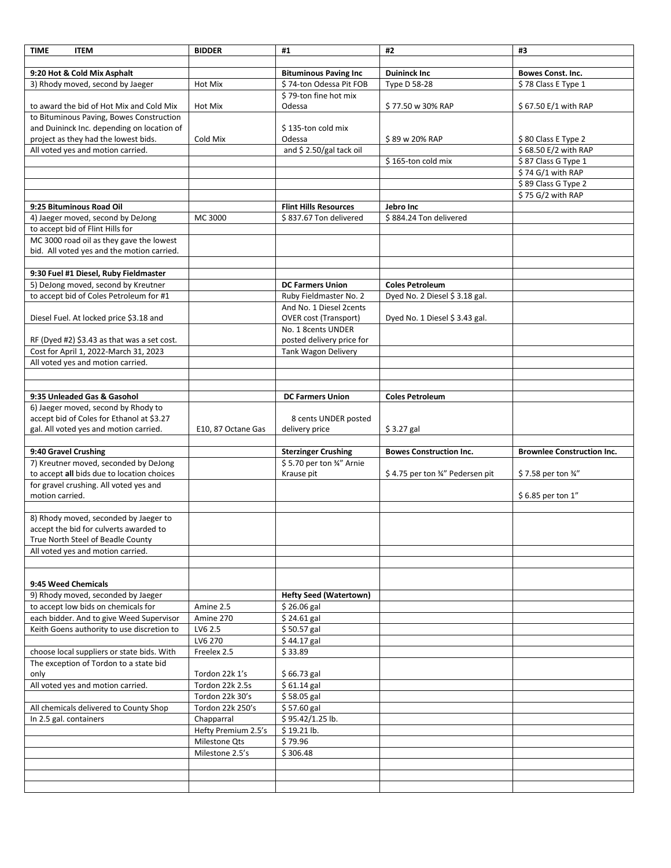| <b>TIME</b><br><b>ITEM</b>                                                           | <b>BIDDER</b>       | #1                                                      | #2                               | #3                                |
|--------------------------------------------------------------------------------------|---------------------|---------------------------------------------------------|----------------------------------|-----------------------------------|
|                                                                                      |                     |                                                         |                                  |                                   |
| 9:20 Hot & Cold Mix Asphalt                                                          |                     | <b>Bituminous Paving Inc</b>                            | <b>Duininck Inc</b>              | <b>Bowes Const. Inc.</b>          |
| 3) Rhody moved, second by Jaeger                                                     | Hot Mix             | \$74-ton Odessa Pit FOB                                 | Type D 58-28                     | \$78 Class E Type 1               |
|                                                                                      |                     | \$79-ton fine hot mix                                   |                                  |                                   |
| to award the bid of Hot Mix and Cold Mix                                             | Hot Mix             | Odessa                                                  | \$77.50 w 30% RAP                | \$67.50 E/1 with RAP              |
| to Bituminous Paving, Bowes Construction                                             |                     |                                                         |                                  |                                   |
| and Duininck Inc. depending on location of                                           |                     | \$135-ton cold mix                                      |                                  |                                   |
| project as they had the lowest bids.                                                 | Cold Mix            | Odessa                                                  | \$89 w 20% RAP                   | \$80 Class E Type 2               |
| All voted yes and motion carried.                                                    |                     | and \$2.50/gal tack oil                                 |                                  | \$68.50 E/2 with RAP              |
|                                                                                      |                     |                                                         | \$165-ton cold mix               | \$87 Class G Type 1               |
|                                                                                      |                     |                                                         |                                  | \$74 G/1 with RAP                 |
|                                                                                      |                     |                                                         |                                  | \$89 Class G Type 2               |
|                                                                                      |                     |                                                         |                                  | \$75 G/2 with RAP                 |
| 9:25 Bituminous Road Oil                                                             |                     | <b>Flint Hills Resources</b>                            | Jebro Inc                        |                                   |
| 4) Jaeger moved, second by DeJong                                                    | MC 3000             | \$837.67 Ton delivered                                  | \$884.24 Ton delivered           |                                   |
| to accept bid of Flint Hills for                                                     |                     |                                                         |                                  |                                   |
| MC 3000 road oil as they gave the lowest                                             |                     |                                                         |                                  |                                   |
| bid. All voted yes and the motion carried.                                           |                     |                                                         |                                  |                                   |
|                                                                                      |                     |                                                         |                                  |                                   |
| 9:30 Fuel #1 Diesel, Ruby Fieldmaster                                                |                     |                                                         |                                  |                                   |
| 5) DeJong moved, second by Kreutner                                                  |                     | <b>DC Farmers Union</b>                                 | <b>Coles Petroleum</b>           |                                   |
| to accept bid of Coles Petroleum for #1                                              |                     | Ruby Fieldmaster No. 2                                  | Dyed No. 2 Diesel \$ 3.18 gal.   |                                   |
|                                                                                      |                     | And No. 1 Diesel 2cents                                 |                                  |                                   |
| Diesel Fuel. At locked price \$3.18 and                                              |                     | <b>OVER cost (Transport)</b>                            | Dyed No. 1 Diesel \$3.43 gal.    |                                   |
|                                                                                      |                     | No. 1 8cents UNDER                                      |                                  |                                   |
| RF (Dyed #2) \$3.43 as that was a set cost.                                          |                     | posted delivery price for                               |                                  |                                   |
| Cost for April 1, 2022-March 31, 2023                                                |                     | Tank Wagon Delivery                                     |                                  |                                   |
| All voted yes and motion carried.                                                    |                     |                                                         |                                  |                                   |
|                                                                                      |                     |                                                         |                                  |                                   |
|                                                                                      |                     |                                                         |                                  |                                   |
| 9:35 Unleaded Gas & Gasohol                                                          |                     | <b>DC Farmers Union</b>                                 | <b>Coles Petroleum</b>           |                                   |
|                                                                                      |                     |                                                         |                                  |                                   |
| 6) Jaeger moved, second by Rhody to<br>accept bid of Coles for Ethanol at \$3.27     |                     |                                                         |                                  |                                   |
| gal. All voted yes and motion carried.                                               | E10, 87 Octane Gas  | 8 cents UNDER posted<br>delivery price                  | $$3.27$ gal                      |                                   |
|                                                                                      |                     |                                                         |                                  |                                   |
| 9:40 Gravel Crushing                                                                 |                     |                                                         | <b>Bowes Construction Inc.</b>   | <b>Brownlee Construction Inc.</b> |
| 7) Kreutner moved, seconded by DeJong                                                |                     | <b>Sterzinger Crushing</b><br>\$5.70 per ton 3/4" Arnie |                                  |                                   |
| to accept all bids due to location choices                                           |                     | Krause pit                                              | \$4.75 per ton 3/4" Pedersen pit | \$7.58 per ton 3/4"               |
| for gravel crushing. All voted yes and                                               |                     |                                                         |                                  |                                   |
| motion carried.                                                                      |                     |                                                         |                                  | \$6.85 per ton 1"                 |
|                                                                                      |                     |                                                         |                                  |                                   |
| 8) Rhody moved, seconded by Jaeger to                                                |                     |                                                         |                                  |                                   |
| accept the bid for culverts awarded to                                               |                     |                                                         |                                  |                                   |
| True North Steel of Beadle County                                                    |                     |                                                         |                                  |                                   |
| All voted yes and motion carried.                                                    |                     |                                                         |                                  |                                   |
|                                                                                      |                     |                                                         |                                  |                                   |
|                                                                                      |                     |                                                         |                                  |                                   |
| 9:45 Weed Chemicals                                                                  |                     |                                                         |                                  |                                   |
| 9) Rhody moved, seconded by Jaeger                                                   |                     | <b>Hefty Seed (Watertown)</b>                           |                                  |                                   |
| to accept low bids on chemicals for                                                  | Amine 2.5           | $$26.06$ gal                                            |                                  |                                   |
| each bidder. And to give Weed Supervisor                                             | Amine 270           | \$24.61 gal                                             |                                  |                                   |
| Keith Goens authority to use discretion to                                           | LV6 2.5             | $$50.57$ gal                                            |                                  |                                   |
|                                                                                      | LV6 270             |                                                         |                                  |                                   |
|                                                                                      |                     | $$44.17$ gal                                            |                                  |                                   |
| choose local suppliers or state bids. With<br>The exception of Tordon to a state bid | Freelex 2.5         | \$33.89                                                 |                                  |                                   |
|                                                                                      |                     |                                                         |                                  |                                   |
| only                                                                                 | Tordon 22k 1's      | \$66.73 gal                                             |                                  |                                   |
| All voted yes and motion carried.                                                    | Tordon 22k 2.5s     | \$61.14 gal                                             |                                  |                                   |
|                                                                                      | Tordon 22k 30's     | \$58.05 gal                                             |                                  |                                   |
| All chemicals delivered to County Shop                                               | Tordon 22k 250's    | $$57.60$ gal                                            |                                  |                                   |
| In 2.5 gal. containers                                                               | Chapparral          | \$95.42/1.25 lb.                                        |                                  |                                   |
|                                                                                      | Hefty Premium 2.5's | \$19.21 lb.                                             |                                  |                                   |
|                                                                                      | Milestone Qts       | \$79.96                                                 |                                  |                                   |
|                                                                                      | Milestone 2.5's     | \$306.48                                                |                                  |                                   |
|                                                                                      |                     |                                                         |                                  |                                   |
|                                                                                      |                     |                                                         |                                  |                                   |
|                                                                                      |                     |                                                         |                                  |                                   |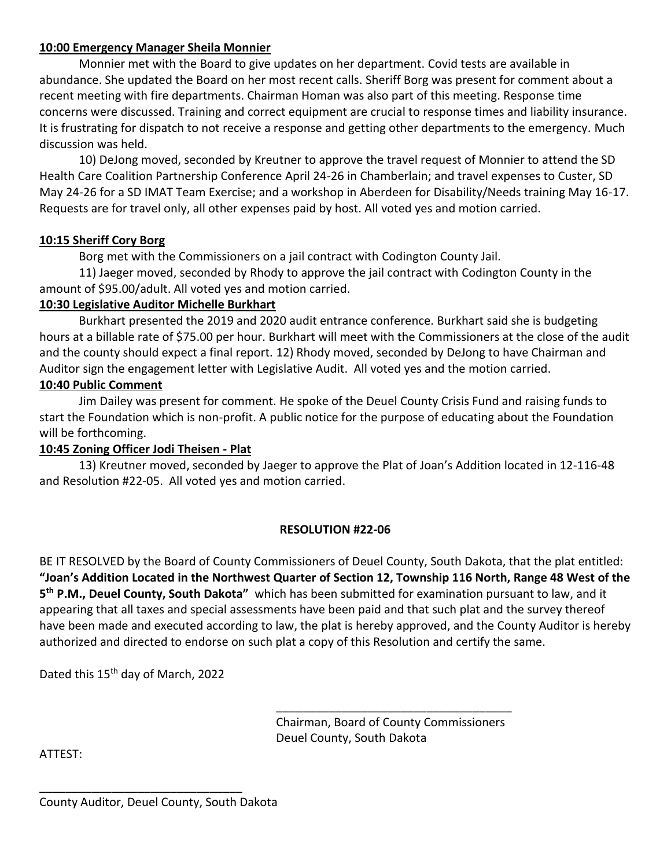# **10:00 Emergency Manager Sheila Monnier**

Monnier met with the Board to give updates on her department. Covid tests are available in abundance. She updated the Board on her most recent calls. Sheriff Borg was present for comment about a recent meeting with fire departments. Chairman Homan was also part of this meeting. Response time concerns were discussed. Training and correct equipment are crucial to response times and liability insurance. It is frustrating for dispatch to not receive a response and getting other departments to the emergency. Much discussion was held.

10) DeJong moved, seconded by Kreutner to approve the travel request of Monnier to attend the SD Health Care Coalition Partnership Conference April 24-26 in Chamberlain; and travel expenses to Custer, SD May 24-26 for a SD IMAT Team Exercise; and a workshop in Aberdeen for Disability/Needs training May 16-17. Requests are for travel only, all other expenses paid by host. All voted yes and motion carried.

## **10:15 Sheriff Cory Borg**

Borg met with the Commissioners on a jail contract with Codington County Jail.

11) Jaeger moved, seconded by Rhody to approve the jail contract with Codington County in the amount of \$95.00/adult. All voted yes and motion carried.

### **10:30 Legislative Auditor Michelle Burkhart**

Burkhart presented the 2019 and 2020 audit entrance conference. Burkhart said she is budgeting hours at a billable rate of \$75.00 per hour. Burkhart will meet with the Commissioners at the close of the audit and the county should expect a final report. 12) Rhody moved, seconded by DeJong to have Chairman and Auditor sign the engagement letter with Legislative Audit. All voted yes and the motion carried.

### **10:40 Public Comment**

Jim Dailey was present for comment. He spoke of the Deuel County Crisis Fund and raising funds to start the Foundation which is non-profit. A public notice for the purpose of educating about the Foundation will be forthcoming.

### **10:45 Zoning Officer Jodi Theisen - Plat**

13) Kreutner moved, seconded by Jaeger to approve the Plat of Joan's Addition located in 12-116-48 and Resolution #22-05. All voted yes and motion carried.

### **RESOLUTION #22-06**

BE IT RESOLVED by the Board of County Commissioners of Deuel County, South Dakota, that the plat entitled: **"Joan's Addition Located in the Northwest Quarter of Section 12, Township 116 North, Range 48 West of the 5 th P.M., Deuel County, South Dakota"** which has been submitted for examination pursuant to law, and it appearing that all taxes and special assessments have been paid and that such plat and the survey thereof have been made and executed according to law, the plat is hereby approved, and the County Auditor is hereby authorized and directed to endorse on such plat a copy of this Resolution and certify the same.

Dated this 15<sup>th</sup> day of March, 2022

Chairman, Board of County Commissioners Deuel County, South Dakota

\_\_\_\_\_\_\_\_\_\_\_\_\_\_\_\_\_\_\_\_\_\_\_\_\_\_\_\_\_\_\_\_\_\_\_\_

ATTEST:

\_\_\_\_\_\_\_\_\_\_\_\_\_\_\_\_\_\_\_\_\_\_\_\_\_\_\_\_\_\_\_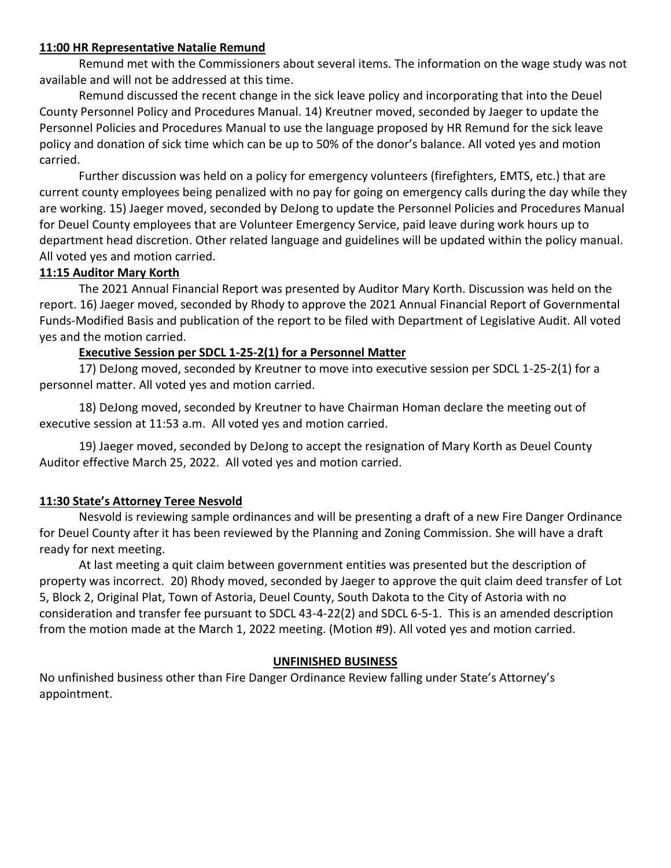## **11:00 HR Representative Natalie Remund**

Remund met with the Commissioners about several items. The information on the wage study was not available and will not be addressed at this time.

Remund discussed the recent change in the sick leave policy and incorporating that into the Deuel County Personnel Policy and Procedures Manual. 14) Kreutner moved, seconded by Jaeger to update the Personnel Policies and Procedures Manual to use the language proposed by HR Remund for the sick leave policy and donation of sick time which can be up to 50% of the donor's balance. All voted yes and motion carried.

Further discussion was held on a policy for emergency volunteers (firefighters, EMTS, etc.) that are current county employees being penalized with no pay for going on emergency calls during the day while they are working. 15) Jaeger moved, seconded by DeJong to update the Personnel Policies and Procedures Manual for Deuel County employees that are Volunteer Emergency Service, paid leave during work hours up to department head discretion. Other related language and guidelines will be updated within the policy manual. All voted yes and motion carried.

## **11:15 Auditor Mary Korth**

The 2021 Annual Financial Report was presented by Auditor Mary Korth. Discussion was held on the report. 16) Jaeger moved, seconded by Rhody to approve the 2021 Annual Financial Report of Governmental Funds-Modified Basis and publication of the report to be filed with Department of Legislative Audit. All voted yes and the motion carried.

## **Executive Session per SDCL 1-25-2(1) for a Personnel Matter**

17) DeJong moved, seconded by Kreutner to move into executive session per SDCL 1-25-2(1) for a personnel matter. All voted yes and motion carried.

18) DeJong moved, seconded by Kreutner to have Chairman Homan declare the meeting out of executive session at 11:53 a.m. All voted yes and motion carried.

19) Jaeger moved, seconded by DeJong to accept the resignation of Mary Korth as Deuel County Auditor effective March 25, 2022. All voted yes and motion carried.

### **11:30 State's Attorney Teree Nesvold**

Nesvold is reviewing sample ordinances and will be presenting a draft of a new Fire Danger Ordinance for Deuel County after it has been reviewed by the Planning and Zoning Commission. She will have a draft ready for next meeting.

At last meeting a quit claim between government entities was presented but the description of property was incorrect. 20) Rhody moved, seconded by Jaeger to approve the quit claim deed transfer of Lot 5, Block 2, Original Plat, Town of Astoria, Deuel County, South Dakota to the City of Astoria with no consideration and transfer fee pursuant to SDCL 43-4-22(2) and SDCL 6-5-1. This is an amended description from the motion made at the March 1, 2022 meeting. (Motion #9). All voted yes and motion carried.

### **UNFINISHED BUSINESS**

No unfinished business other than Fire Danger Ordinance Review falling under State's Attorney's appointment.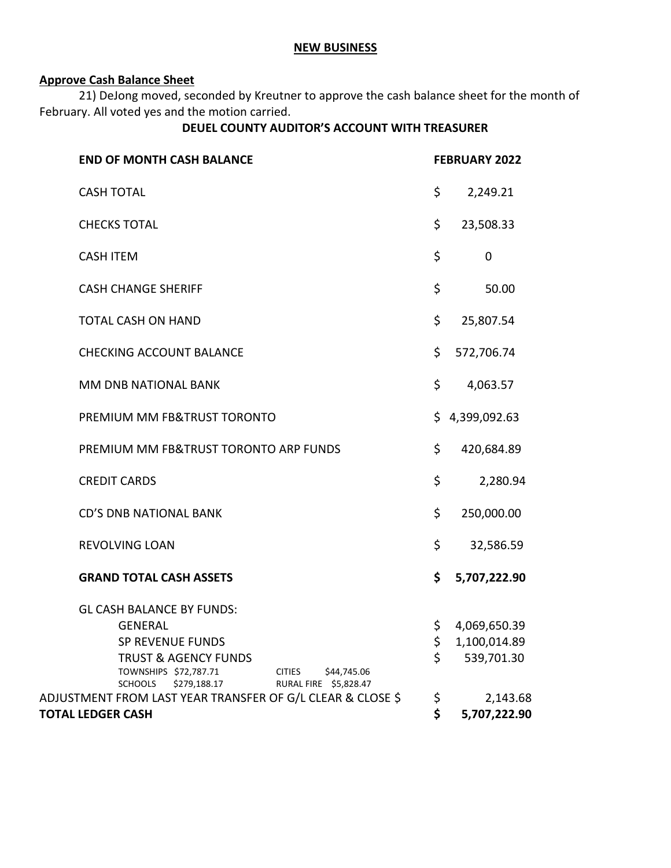#### **NEW BUSINESS**

# **Approve Cash Balance Sheet**

21) DeJong moved, seconded by Kreutner to approve the cash balance sheet for the month of February. All voted yes and the motion carried.

# **DEUEL COUNTY AUDITOR'S ACCOUNT WITH TREASURER**

| <b>END OF MONTH CASH BALANCE</b>                                                                                                                    |                    | <b>FEBRUARY 2022</b>         |  |
|-----------------------------------------------------------------------------------------------------------------------------------------------------|--------------------|------------------------------|--|
| <b>CASH TOTAL</b>                                                                                                                                   | \$                 | 2,249.21                     |  |
| <b>CHECKS TOTAL</b>                                                                                                                                 | \$                 | 23,508.33                    |  |
| <b>CASH ITEM</b>                                                                                                                                    | \$                 | $\mathbf 0$                  |  |
| <b>CASH CHANGE SHERIFF</b>                                                                                                                          | \$                 | 50.00                        |  |
| <b>TOTAL CASH ON HAND</b>                                                                                                                           | \$                 | 25,807.54                    |  |
| <b>CHECKING ACCOUNT BALANCE</b>                                                                                                                     | \$                 | 572,706.74                   |  |
| MM DNB NATIONAL BANK                                                                                                                                | \$                 | 4,063.57                     |  |
| PREMIUM MM FB&TRUST TORONTO                                                                                                                         | \$                 | 4,399,092.63                 |  |
| PREMIUM MM FB&TRUST TORONTO ARP FUNDS                                                                                                               | \$                 | 420,684.89                   |  |
| <b>CREDIT CARDS</b>                                                                                                                                 | \$                 | 2,280.94                     |  |
| <b>CD'S DNB NATIONAL BANK</b>                                                                                                                       | \$                 | 250,000.00                   |  |
| <b>REVOLVING LOAN</b>                                                                                                                               | \$                 | 32,586.59                    |  |
| <b>GRAND TOTAL CASH ASSETS</b>                                                                                                                      | \$                 | 5,707,222.90                 |  |
| <b>GL CASH BALANCE BY FUNDS:</b><br><b>GENERAL</b><br><b>SP REVENUE FUNDS</b>                                                                       | \$<br>\$           | 4,069,650.39<br>1,100,014.89 |  |
| <b>TRUST &amp; AGENCY FUNDS</b><br>\$44,745.06<br>TOWNSHIPS \$72,787.71<br><b>CITIES</b><br>RURAL FIRE \$5,828.47<br><b>SCHOOLS</b><br>\$279,188.17 | $\mathsf{\dot{S}}$ | 539,701.30                   |  |
| ADJUSTMENT FROM LAST YEAR TRANSFER OF G/L CLEAR & CLOSE \$                                                                                          | \$                 | 2,143.68                     |  |
| <b>TOTAL LEDGER CASH</b>                                                                                                                            | \$                 | 5,707,222.90                 |  |